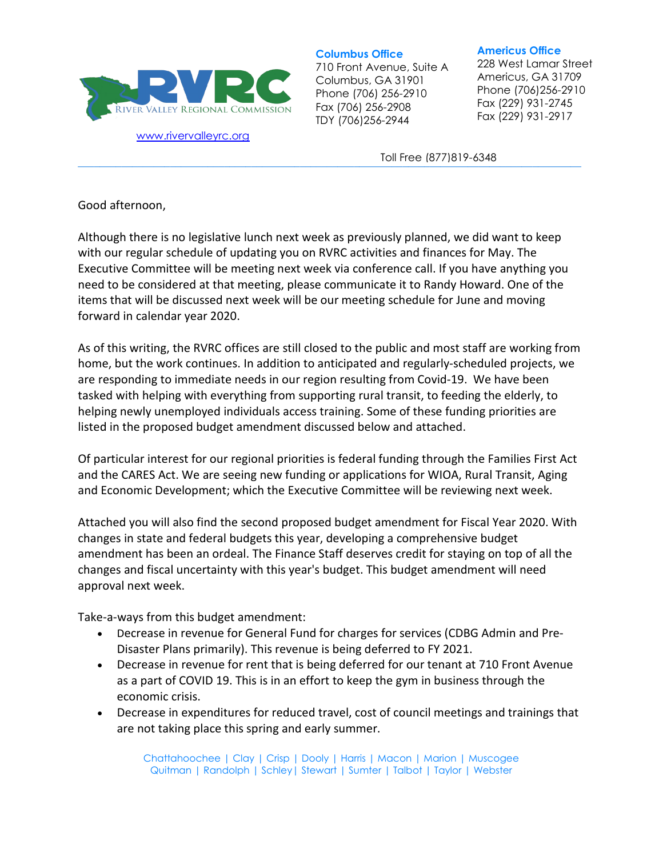

[www.rivervalleyrc.org](http://www.rivervalleyrc.org/)

**Columbus Office**

710 Front Avenue, Suite A Columbus, GA 31901 Phone (706) 256-2910 Fax (706) 256-2908 TDY (706)256-2944

## **Americus Office**

228 West Lamar Street Americus, GA 31709 Phone (706)256-2910 Fax (229) 931-2745 Fax (229) 931-2917

**\_\_\_\_\_\_\_\_\_\_\_\_\_\_\_\_\_\_\_\_\_\_\_\_\_\_\_\_\_\_\_\_\_\_\_\_\_\_\_\_\_\_\_\_\_\_\_\_\_\_\_\_\_\_\_\_\_\_\_\_\_\_\_\_\_\_\_\_\_\_\_\_\_\_\_\_\_\_\_\_\_\_\_\_\_\_\_\_\_\_\_\_\_** Toll Free (877)819-6348

Good afternoon,

Although there is no legislative lunch next week as previously planned, we did want to keep with our regular schedule of updating you on RVRC activities and finances for May. The Executive Committee will be meeting next week via conference call. If you have anything you need to be considered at that meeting, please communicate it to Randy Howard. One of the items that will be discussed next week will be our meeting schedule for June and moving forward in calendar year 2020.

As of this writing, the RVRC offices are still closed to the public and most staff are working from home, but the work continues. In addition to anticipated and regularly-scheduled projects, we are responding to immediate needs in our region resulting from Covid-19. We have been tasked with helping with everything from supporting rural transit, to feeding the elderly, to helping newly unemployed individuals access training. Some of these funding priorities are listed in the proposed budget amendment discussed below and attached.

Of particular interest for our regional priorities is federal funding through the Families First Act and the CARES Act. We are seeing new funding or applications for WIOA, Rural Transit, Aging and Economic Development; which the Executive Committee will be reviewing next week.

Attached you will also find the second proposed budget amendment for Fiscal Year 2020. With changes in state and federal budgets this year, developing a comprehensive budget amendment has been an ordeal. The Finance Staff deserves credit for staying on top of all the changes and fiscal uncertainty with this year's budget. This budget amendment will need approval next week.

Take-a-ways from this budget amendment:

- Decrease in revenue for General Fund for charges for services (CDBG Admin and Pre-Disaster Plans primarily). This revenue is being deferred to FY 2021.
- Decrease in revenue for rent that is being deferred for our tenant at 710 Front Avenue as a part of COVID 19. This is in an effort to keep the gym in business through the economic crisis.
- Decrease in expenditures for reduced travel, cost of council meetings and trainings that are not taking place this spring and early summer.

Chattahoochee | Clay | Crisp | Dooly | Harris | Macon | Marion | Muscogee Quitman | Randolph | Schley| Stewart | Sumter | Talbot | Taylor | Webster